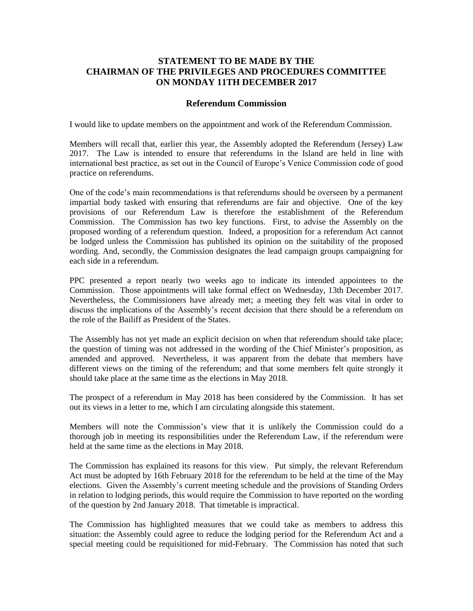## **STATEMENT TO BE MADE BY THE CHAIRMAN OF THE PRIVILEGES AND PROCEDURES COMMITTEE ON MONDAY 11TH DECEMBER 2017**

## **Referendum Commission**

I would like to update members on the appointment and work of the Referendum Commission.

Members will recall that, earlier this year, the Assembly adopted the Referendum (Jersey) Law 2017. The Law is intended to ensure that referendums in the Island are held in line with international best practice, as set out in the Council of Europe's Venice Commission code of good practice on referendums.

One of the code's main recommendations is that referendums should be overseen by a permanent impartial body tasked with ensuring that referendums are fair and objective. One of the key provisions of our Referendum Law is therefore the establishment of the Referendum Commission. The Commission has two key functions. First, to advise the Assembly on the proposed wording of a referendum question. Indeed, a proposition for a referendum Act cannot be lodged unless the Commission has published its opinion on the suitability of the proposed wording. And, secondly, the Commission designates the lead campaign groups campaigning for each side in a referendum.

PPC presented a report nearly two weeks ago to indicate its intended appointees to the Commission. Those appointments will take formal effect on Wednesday, 13th December 2017. Nevertheless, the Commissioners have already met; a meeting they felt was vital in order to discuss the implications of the Assembly's recent decision that there should be a referendum on the role of the Bailiff as President of the States.

The Assembly has not yet made an explicit decision on when that referendum should take place; the question of timing was not addressed in the wording of the Chief Minister's proposition, as amended and approved. Nevertheless, it was apparent from the debate that members have different views on the timing of the referendum; and that some members felt quite strongly it should take place at the same time as the elections in May 2018.

The prospect of a referendum in May 2018 has been considered by the Commission. It has set out its views in a letter to me, which I am circulating alongside this statement.

Members will note the Commission's view that it is unlikely the Commission could do a thorough job in meeting its responsibilities under the Referendum Law, if the referendum were held at the same time as the elections in May 2018.

The Commission has explained its reasons for this view. Put simply, the relevant Referendum Act must be adopted by 16th February 2018 for the referendum to be held at the time of the May elections. Given the Assembly's current meeting schedule and the provisions of Standing Orders in relation to lodging periods, this would require the Commission to have reported on the wording of the question by 2nd January 2018. That timetable is impractical.

The Commission has highlighted measures that we could take as members to address this situation: the Assembly could agree to reduce the lodging period for the Referendum Act and a special meeting could be requisitioned for mid-February. The Commission has noted that such